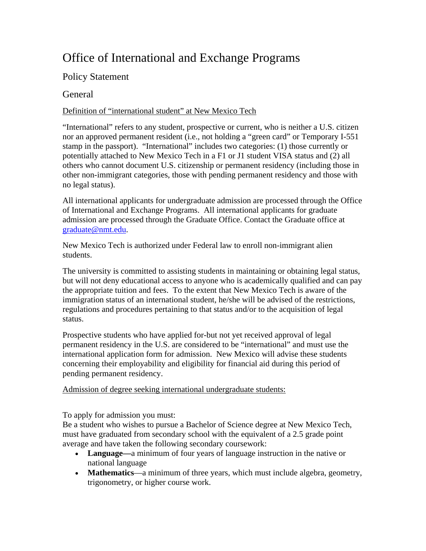# Office of International and Exchange Programs

# Policy Statement

## **General**

## Definition of "international student" at New Mexico Tech

"International" refers to any student, prospective or current, who is neither a U.S. citizen nor an approved permanent resident (i.e., not holding a "green card" or Temporary I-551 stamp in the passport). "International" includes two categories: (1) those currently or potentially attached to New Mexico Tech in a F1 or J1 student VISA status and (2) all others who cannot document U.S. citizenship or permanent residency (including those in other non-immigrant categories, those with pending permanent residency and those with no legal status).

All international applicants for undergraduate admission are processed through the Office of International and Exchange Programs. All international applicants for graduate admission are processed through the Graduate Office. Contact the Graduate office at graduate@nmt.edu.

New Mexico Tech is authorized under Federal law to enroll non-immigrant alien students.

The university is committed to assisting students in maintaining or obtaining legal status, but will not deny educational access to anyone who is academically qualified and can pay the appropriate tuition and fees. To the extent that New Mexico Tech is aware of the immigration status of an international student, he/she will be advised of the restrictions, regulations and procedures pertaining to that status and/or to the acquisition of legal status.

Prospective students who have applied for-but not yet received approval of legal permanent residency in the U.S. are considered to be "international" and must use the international application form for admission. New Mexico will advise these students concerning their employability and eligibility for financial aid during this period of pending permanent residency.

Admission of degree seeking international undergraduate students:

To apply for admission you must:

Be a student who wishes to pursue a Bachelor of Science degree at New Mexico Tech, must have graduated from secondary school with the equivalent of a 2.5 grade point average and have taken the following secondary coursework:

- **Language—**a minimum of four years of language instruction in the native or national language
- **Mathematics**—a minimum of three years, which must include algebra, geometry, trigonometry, or higher course work.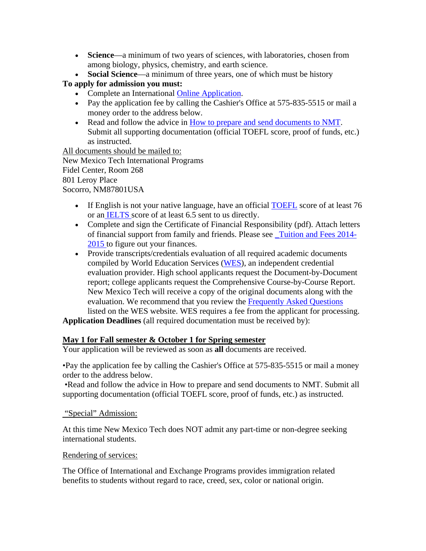- **Science**—a minimum of two years of sciences, with laboratories, chosen from among biology, physics, chemistry, and earth science.
- **Social Science**—a minimum of three years, one of which must be history

## **To apply for admission you must:**

- Complete an International Online Application.
- Pay the application fee by calling the Cashier's Office at 575-835-5515 or mail a money order to the address below.
- Read and follow the advice in How to prepare and send documents to NMT. Submit all supporting documentation (official TOEFL score, proof of funds, etc.) as instructed.

All documents should be mailed to: New Mexico Tech International Programs Fidel Center, Room 268 801 Leroy Place Socorro, NM87801USA

- If English is not your native language, have an official TOEFL score of at least 76 or an IELTS score of at least 6.5 sent to us directly.
- Complete and sign the Certificate of Financial Responsibility (pdf). Attach letters of financial support from family and friends. Please see \_Tuition and Fees 2014- 2015 to figure out your finances.
- Provide transcripts/credentials evaluation of all required academic documents compiled by World Education Services (WES), an independent credential evaluation provider. High school applicants request the Document-by-Document report; college applicants request the Comprehensive Course-by-Course Report. New Mexico Tech will receive a copy of the original documents along with the evaluation. We recommend that you review the **Frequently Asked Questions** listed on the WES website. WES requires a fee from the applicant for processing.

**Application Deadlines** (all required documentation must be received by):

### **May 1 for Fall semester & October 1 for Spring semester**

Your application will be reviewed as soon as **all** documents are received.

•Pay the application fee by calling the Cashier's Office at 575-835-5515 or mail a money order to the address below.

 •Read and follow the advice in How to prepare and send documents to NMT. Submit all supporting documentation (official TOEFL score, proof of funds, etc.) as instructed.

#### "Special" Admission:

At this time New Mexico Tech does NOT admit any part-time or non-degree seeking international students.

#### Rendering of services:

The Office of International and Exchange Programs provides immigration related benefits to students without regard to race, creed, sex, color or national origin.